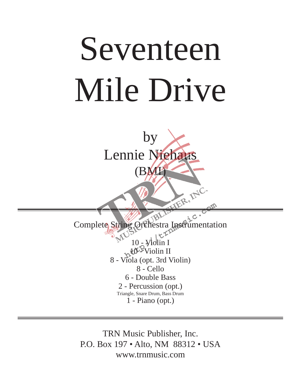

TRN Music Publisher, Inc. P.O. Box 197 • Alto, NM 88312 • USA www.trnmusic.com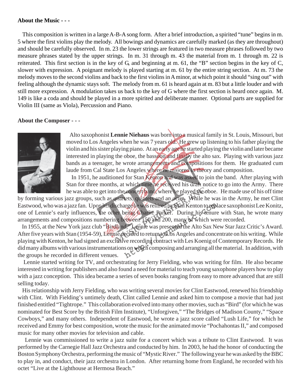## **About the Music - - -**

 This composition is written in a large A-B-A song form. After a brief introduction, a spirited "tune" begins in m. 5 where the first violins play the melody. All bowings and dynamics are carefully marked (as they are throughout) and should be carefully observed. In m. 23 the lower strings are featured in two measure phrases followed by two measure phrases stated by the upper strings. In m. 31 through m. 43 the material from m. 1 through m. 22 is reiterated. This first section is in the key of G, and beginning at m. 61, the "B" section begins in the key of C, slower with expression. A poignant melody is played starting at m. 61 by the entire string section. At m. 73 the melody moves to the second violins and back to the first violins in A minor, at which point it should "sing out" with feeling although the dynamic stays soft. The melody from m. 61 is heard again at m. 83 but a little louder and with still more expression. A modulation takes us back to the key of G where the first section is heard once again. M. 149 is like a coda and should be played in a more spirited and deliberate manner. Optional parts are supplied for Violin III (same as Viola), Percussion and Piano.

## **About the Composer - - -**



Alto saxophonist **Lennie Niehaus** was born into a musical family in St. Louis, Missouri, but moved to Los Angeles when he was 7 years old. He grew up listening to his father playing the violin and his sister playing piano. At an early age he started playing the violin and later became interested in playing the oboe, the bassoon and finally the alto sax. Playing with various jazz bands as a teenager, he wrote arrangements and compositions for them. He graduated cum laude from Cal State Los Angeles where he majored in theory and composition.

In 1951, he auditioned for Stan Kenton and was asked to join the band. After playing with Stan for three months, at which time he received his draft notice to go into the Army. There he was able to get into the concert band, where he played the oboe. He made use of his off time

by forming various jazz groups, such as quartets, quintets and an octet. While he was in the Army, he met Clint Eastwood, who was a jazz fan. Upon his discharge he was rehired by Stan Kenton to replace saxophonist Lee Konitz, one of Lennie's early influences, the other being Charlie Parker. During his tenure with Stan, he wrote many arrangements and compositions numbering between 150 and 200, many of which were recorded.

In 1955, at the New York jazz club "Birdland," Lennie was presented the Alto Sax New Star Jazz Critic's Award. After five years with Stan (1954-59), Lennie decided to return to Los Angeles and concentrate on his writing. While playing with Kenton, he had signed an exclusive recording contract with Les Koenig of Contemporary Records. He did many albums with various instrumentations on which composing and arranging all the material. In addition, with the groups he recorded in different venues.  $\mathbb{R}^{\mathbb{C}}$ 

 Lennie started writing for TV, and orchestrating for Jerry Fielding, who was writing for film. He also became interested in writing for publishers and also found a need for material to teach young saxophone players how to play with a jazz conception. This idea became a series of seven books ranging from easy to more advanced that are still selling today.

 His relationship with Jerry Fielding, who was writing several movies for Clint Eastwood, renewed his friendship with Clint. With Fielding's untimely death, Clint called Lennie and asked him to compose a movie that had just finished entitled "Tightrope." This collaboration evolved into many other movies, such as "Bird" (for which he was nominated for Best Score by the British Film Institute), "Unforgiven," "The Bridges of Madison County," "Space Cowboys," and many others. Independent of Eastwood, he wrote a jazz score called "Lush Life," for which he received and Emmy for best composition, wrote the music for the animated movie "Pochahontas II," and composed music for many other movies for television and cable.

 Lennie was commissioned to write a jazz suite for a concert which was a tribute to Clint Eastwood. It was performed by the Carnegie Hall Jazz Orchestra and conducted by him. In 2003, he had the honor of conducting the Boston Symphony Orchestra, performing the music of "Mystic River." The following year he was asked by the BBC to play in, and conduct, their jazz orchestra in London. After returning home from England, he recorded with his octet "Live at the Lighthouse at Hermosa Beach."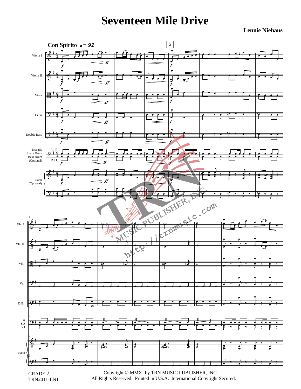## **Seventeen Mile Drive**

**Lennie Niehaus**



TRN2011-LN1

All Rights Reserved. Printed in U.S.A. International Copyright Secured.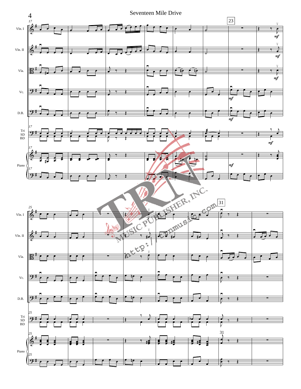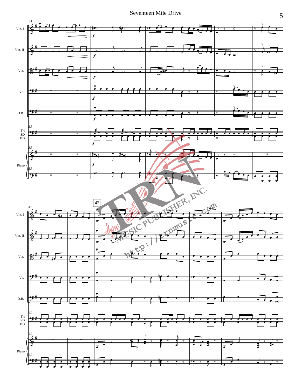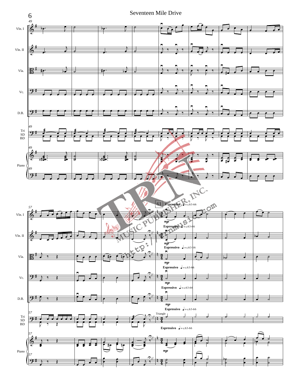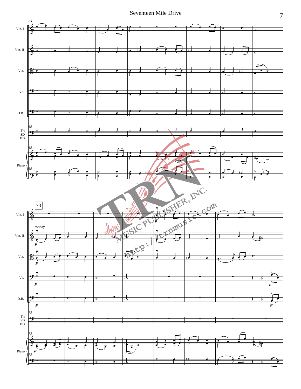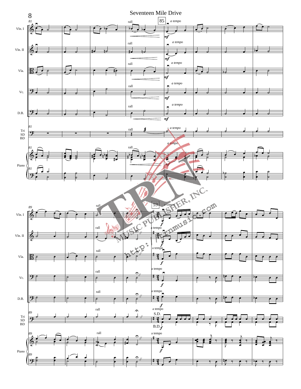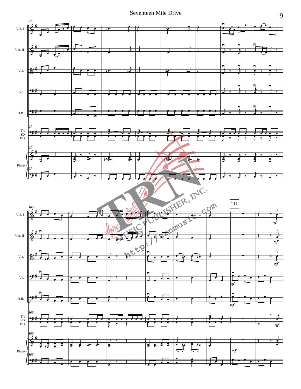



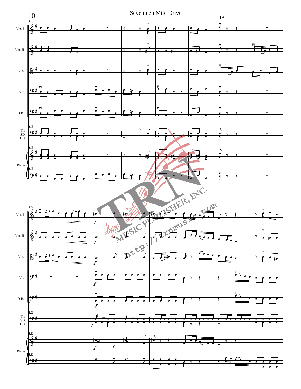



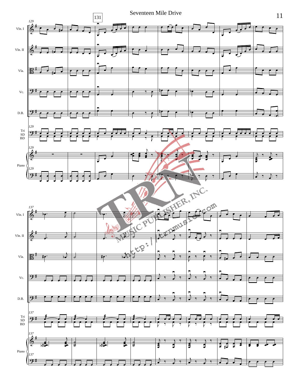